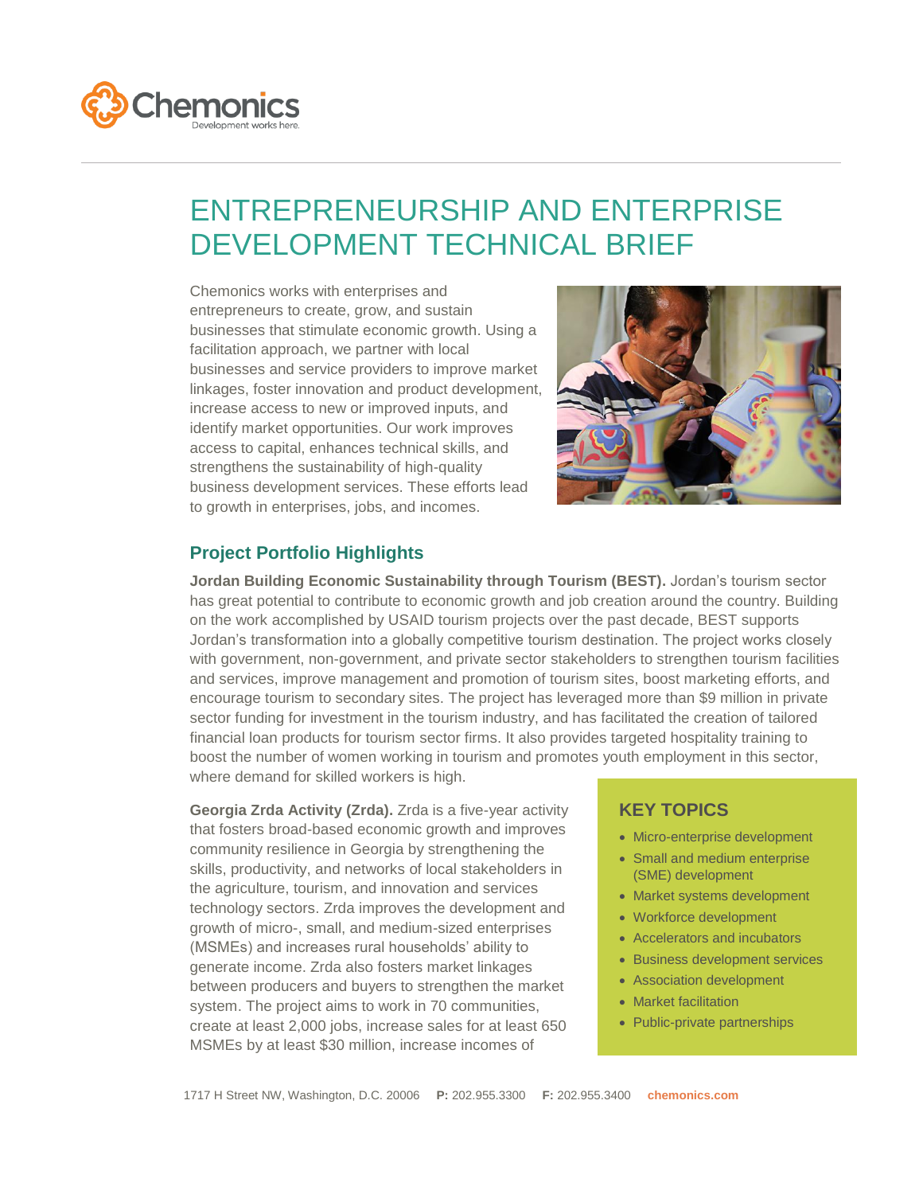

## ENTREPRENEURSHIP AND ENTERPRISE DEVELOPMENT TECHNICAL BRIEF

Chemonics works with enterprises and entrepreneurs to create, grow, and sustain businesses that stimulate economic growth. Using a facilitation approach, we partner with local businesses and service providers to improve market linkages, foster innovation and product development, increase access to new or improved inputs, and identify market opportunities. Our work improves access to capital, enhances technical skills, and strengthens the sustainability of high-quality business development services. These efforts lead to growth in enterprises, jobs, and incomes.



## **Project Portfolio Highlights**

**Jordan Building Economic Sustainability through Tourism (BEST).** Jordan's tourism sector has great potential to contribute to economic growth and job creation around the country. Building on the work accomplished by USAID tourism projects over the past decade, BEST supports Jordan's transformation into a globally competitive tourism destination. The project works closely with government, non-government, and private sector stakeholders to strengthen tourism facilities and services, improve management and promotion of tourism sites, boost marketing efforts, and encourage tourism to secondary sites. The project has leveraged more than \$9 million in private sector funding for investment in the tourism industry, and has facilitated the creation of tailored financial loan products for tourism sector firms. It also provides targeted hospitality training to boost the number of women working in tourism and promotes youth employment in this sector, where demand for skilled workers is high.

**Georgia Zrda Activity (Zrda).** Zrda is a five-year activity that fosters broad-based economic growth and improves community resilience in Georgia by strengthening the skills, productivity, and networks of local stakeholders in the agriculture, tourism, and innovation and services technology sectors. Zrda improves the development and growth of micro-, small, and medium-sized enterprises (MSMEs) and increases rural households' ability to generate income. Zrda also fosters market linkages between producers and buyers to strengthen the market system. The project aims to work in 70 communities, create at least 2,000 jobs, increase sales for at least 650 MSMEs by at least \$30 million, increase incomes of

## **KEY TOPICS**

- Micro-enterprise development
- Small and medium enterprise (SME) development
- Market systems development
- Workforce development
- Accelerators and incubators
- Business development services
- Association development
- Market facilitation
- Public-private partnerships